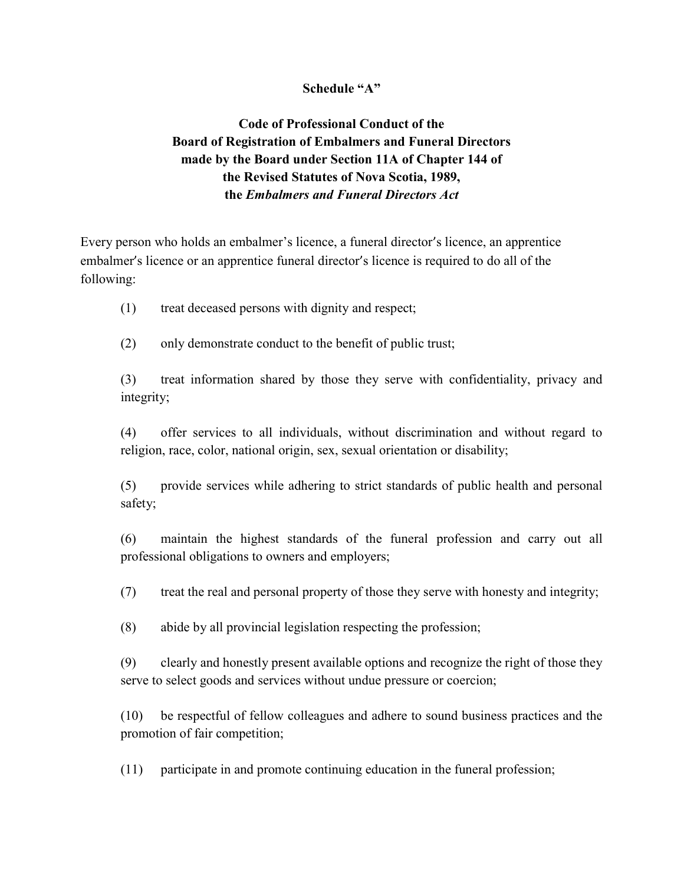## Schedule "A"

## Code of Professional Conduct of the Board of Registration of Embalmers and Funeral Directors made by the Board under Section 11A of Chapter 144 of the Revised Statutes of Nova Scotia, 1989, the Embalmers and Funeral Directors Act

Every person who holds an embalmer's licence, a funeral director's licence, an apprentice embalmer's licence or an apprentice funeral director's licence is required to do all of the following:

- (1) treat deceased persons with dignity and respect;
- (2) only demonstrate conduct to the benefit of public trust;

(3) treat information shared by those they serve with confidentiality, privacy and integrity;

(4) offer services to all individuals, without discrimination and without regard to religion, race, color, national origin, sex, sexual orientation or disability;

(5) provide services while adhering to strict standards of public health and personal safety;

(6) maintain the highest standards of the funeral profession and carry out all professional obligations to owners and employers;

(7) treat the real and personal property of those they serve with honesty and integrity;

(8) abide by all provincial legislation respecting the profession;

(9) clearly and honestly present available options and recognize the right of those they serve to select goods and services without undue pressure or coercion;

(10) be respectful of fellow colleagues and adhere to sound business practices and the promotion of fair competition;

(11) participate in and promote continuing education in the funeral profession;